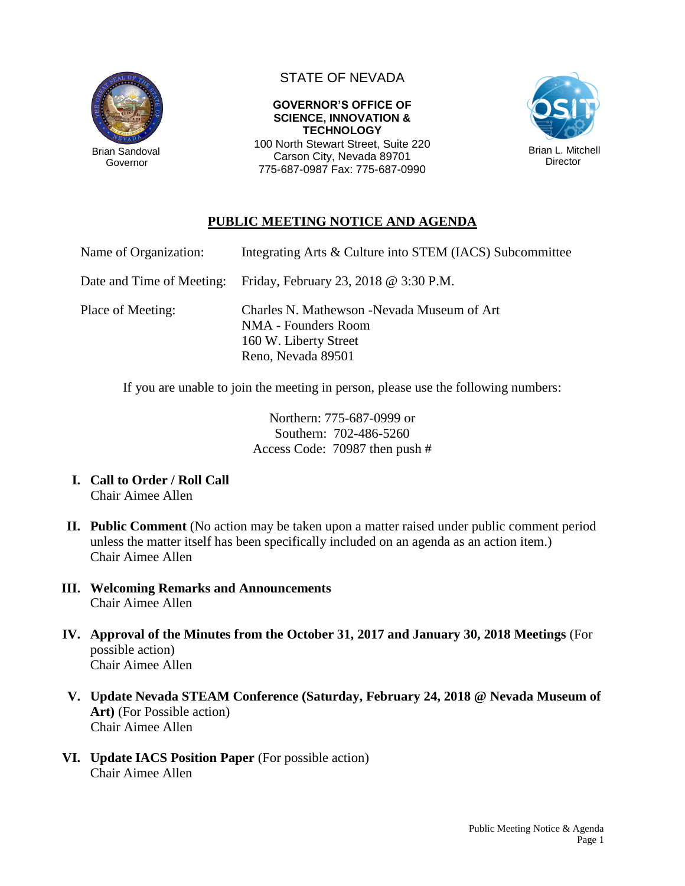

Governor

## STATE OF NEVADA

**GOVERNOR'S OFFICE OF SCIENCE, INNOVATION & TECHNOLOGY** 100 North Stewart Street, Suite 220

Carson City, Nevada 89701 775-687-0987 Fax: 775-687-0990



## **PUBLIC MEETING NOTICE AND AGENDA**

| Name of Organization:     | Integrating Arts & Culture into STEM (IACS) Subcommittee                                                          |
|---------------------------|-------------------------------------------------------------------------------------------------------------------|
| Date and Time of Meeting: | Friday, February 23, 2018 $\omega$ 3:30 P.M.                                                                      |
| Place of Meeting:         | Charles N. Mathewson - Nevada Museum of Art<br>NMA - Founders Room<br>160 W. Liberty Street<br>Reno, Nevada 89501 |

If you are unable to join the meeting in person, please use the following numbers:

Northern: 775-687-0999 or Southern: 702-486-5260 Access Code: 70987 then push #

- **I. Call to Order / Roll Call** Chair Aimee Allen
- **II. Public Comment** (No action may be taken upon a matter raised under public comment period unless the matter itself has been specifically included on an agenda as an action item.) Chair Aimee Allen
- **III. Welcoming Remarks and Announcements** Chair Aimee Allen
- **IV. Approval of the Minutes from the October 31, 2017 and January 30, 2018 Meetings** (For possible action) Chair Aimee Allen
- **V. Update Nevada STEAM Conference (Saturday, February 24, 2018 @ Nevada Museum of Art)** (For Possible action) Chair Aimee Allen
- **VI. Update IACS Position Paper** (For possible action) Chair Aimee Allen